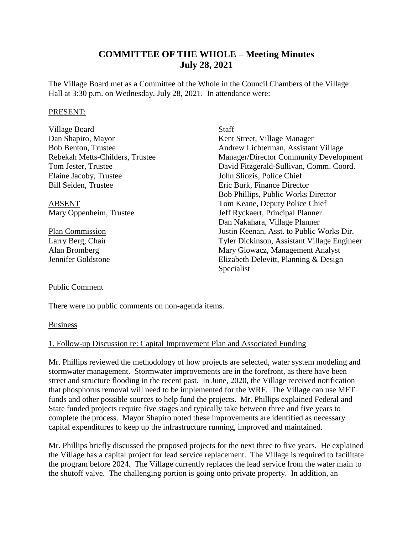# **COMMITTEE OF THE WHOLE – Meeting Minutes July 28, 2021**

The Village Board met as a Committee of the Whole in the Council Chambers of the Village Hall at 3:30 p.m. on Wednesday, July 28, 2021. In attendance were:

#### PRESENT:

| Village Board                   | Staff                                         |
|---------------------------------|-----------------------------------------------|
| Dan Shapiro, Mayor              | Kent Street, Village Manager                  |
| <b>Bob Benton, Trustee</b>      | Andrew Lichterman, Assistant Village          |
| Rebekah Metts-Childers, Trustee | <b>Manager/Director Community Development</b> |
| Tom Jester, Trustee             | David Fitzgerald-Sullivan, Comm. Coord.       |
| Elaine Jacoby, Trustee          | John Sliozis, Police Chief                    |
| <b>Bill Seiden, Trustee</b>     | Eric Burk, Finance Director                   |
|                                 | Bob Phillips, Public Works Director           |
| <b>ABSENT</b>                   | Tom Keane, Deputy Police Chief                |
| Mary Oppenheim, Trustee         | Jeff Ryckaert, Principal Planner              |
|                                 | Dan Nakahara, Village Planner                 |
| <b>Plan Commission</b>          | Justin Keenan, Asst. to Public Works Dir.     |
| Larry Berg, Chair               | Tyler Dickinson, Assistant Village Engineer   |
| Alan Bromberg                   | Mary Glowacz, Management Analyst              |
| Jennifer Goldstone              | Elizabeth Delevitt, Planning & Design         |
|                                 | Specialist                                    |

#### Public Comment

There were no public comments on non-agenda items.

#### **Business**

#### 1. Follow-up Discussion re: Capital Improvement Plan and Associated Funding

Mr. Phillips reviewed the methodology of how projects are selected, water system modeling and stormwater management. Stormwater improvements are in the forefront, as there have been street and structure flooding in the recent past. In June, 2020, the Village received notification that phosphorus removal will need to be implemented for the WRF. The Village can use MFT funds and other possible sources to help fund the projects. Mr. Phillips explained Federal and State funded projects require five stages and typically take between three and five years to complete the process. Mayor Shapiro noted these improvements are identified as necessary capital expenditures to keep up the infrastructure running, improved and maintained.

Mr. Phillips briefly discussed the proposed projects for the next three to five years. He explained the Village has a capital project for lead service replacement. The Village is required to facilitate the program before 2024. The Village currently replaces the lead service from the water main to the shutoff valve. The challenging portion is going onto private property. In addition, an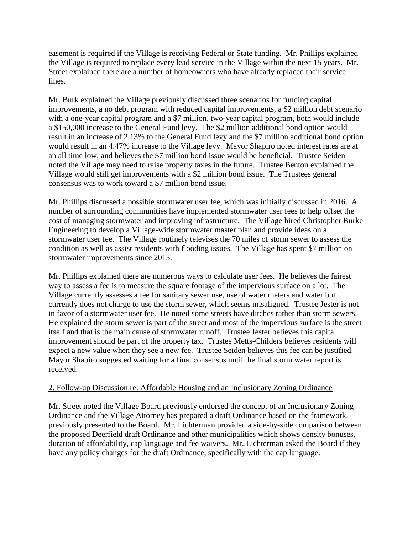easement is required if the Village is receiving Federal or State funding. Mr. Phillips explained the Village is required to replace every lead service in the Village within the next 15 years. Mr. Street explained there are a number of homeowners who have already replaced their service lines.

Mr. Burk explained the Village previously discussed three scenarios for funding capital improvements, a no debt program with reduced capital improvements, a \$2 million debt scenario with a one-year capital program and a \$7 million, two-year capital program, both would include a \$150,000 increase to the General Fund levy. The \$2 million additional bond option would result in an increase of 2.13% to the General Fund levy and the \$7 million additional bond option would result in an 4.47% increase to the Village levy. Mayor Shapiro noted interest rates are at an all time low, and believes the \$7 million bond issue would be beneficial. Trustee Seiden noted the Village may need to raise property taxes in the future. Trustee Benton explained the Village would still get improvements with a \$2 million bond issue. The Trustees general consensus was to work toward a \$7 million bond issue.

Mr. Phillips discussed a possible stormwater user fee, which was initially discussed in 2016. A number of surrounding communities have implemented stormwater user fees to help offset the cost of managing stormwater and improving infrastructure. The Village hired Christopher Burke Engineering to develop a Village-wide stormwater master plan and provide ideas on a stormwater user fee. The Village routinely televises the 70 miles of storm sewer to assess the condition as well as assist residents with flooding issues. The Village has spent \$7 million on stormwater improvements since 2015.

Mr. Phillips explained there are numerous ways to calculate user fees. He believes the fairest way to assess a fee is to measure the square footage of the impervious surface on a lot. The Village currently assesses a fee for sanitary sewer use, use of water meters and water but currently does not charge to use the storm sewer, which seems misaligned. Trustee Jester is not in favor of a stormwater user fee. He noted some streets have ditches rather than storm sewers. He explained the storm sewer is part of the street and most of the impervious surface is the street itself and that is the main cause of stormwater runoff. Trustee Jester believes this capital improvement should be part of the property tax. Trustee Metts-Childers believes residents will expect a new value when they see a new fee. Trustee Seiden believes this fee can be justified. Mayor Shapiro suggested waiting for a final consensus until the final storm water report is received.

### 2. Follow-up Discussion re: Affordable Housing and an Inclusionary Zoning Ordinance

Mr. Street noted the Village Board previously endorsed the concept of an Inclusionary Zoning Ordinance and the Village Attorney has prepared a draft Ordinance based on the framework, previously presented to the Board. Mr. Lichterman provided a side-by-side comparison between the proposed Deerfield draft Ordinance and other municipalities which shows density bonuses, duration of affordability, cap language and fee waivers. Mr. Lichterman asked the Board if they have any policy changes for the draft Ordinance, specifically with the cap language.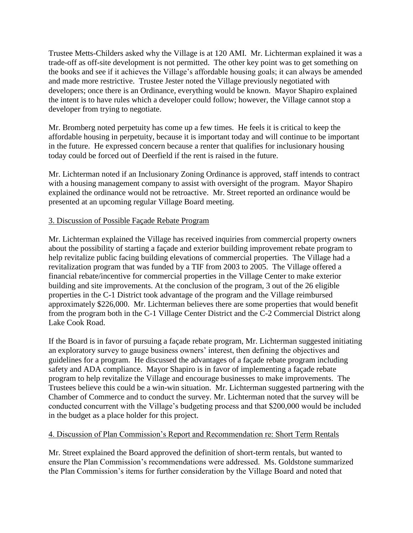Trustee Metts-Childers asked why the Village is at 120 AMI. Mr. Lichterman explained it was a trade-off as off-site development is not permitted. The other key point was to get something on the books and see if it achieves the Village's affordable housing goals; it can always be amended and made more restrictive. Trustee Jester noted the Village previously negotiated with developers; once there is an Ordinance, everything would be known. Mayor Shapiro explained the intent is to have rules which a developer could follow; however, the Village cannot stop a developer from trying to negotiate.

Mr. Bromberg noted perpetuity has come up a few times. He feels it is critical to keep the affordable housing in perpetuity, because it is important today and will continue to be important in the future. He expressed concern because a renter that qualifies for inclusionary housing today could be forced out of Deerfield if the rent is raised in the future.

Mr. Lichterman noted if an Inclusionary Zoning Ordinance is approved, staff intends to contract with a housing management company to assist with oversight of the program. Mayor Shapiro explained the ordinance would not be retroactive. Mr. Street reported an ordinance would be presented at an upcoming regular Village Board meeting.

### 3. Discussion of Possible Façade Rebate Program

Mr. Lichterman explained the Village has received inquiries from commercial property owners about the possibility of starting a façade and exterior building improvement rebate program to help revitalize public facing building elevations of commercial properties. The Village had a revitalization program that was funded by a TIF from 2003 to 2005. The Village offered a financial rebate/incentive for commercial properties in the Village Center to make exterior building and site improvements. At the conclusion of the program, 3 out of the 26 eligible properties in the C-1 District took advantage of the program and the Village reimbursed approximately \$226,000. Mr. Lichterman believes there are some properties that would benefit from the program both in the C-1 Village Center District and the C-2 Commercial District along Lake Cook Road.

If the Board is in favor of pursuing a façade rebate program, Mr. Lichterman suggested initiating an exploratory survey to gauge business owners' interest, then defining the objectives and guidelines for a program. He discussed the advantages of a façade rebate program including safety and ADA compliance. Mayor Shapiro is in favor of implementing a façade rebate program to help revitalize the Village and encourage businesses to make improvements. The Trustees believe this could be a win-win situation. Mr. Lichterman suggested partnering with the Chamber of Commerce and to conduct the survey. Mr. Lichterman noted that the survey will be conducted concurrent with the Village's budgeting process and that \$200,000 would be included in the budget as a place holder for this project.

### 4. Discussion of Plan Commission's Report and Recommendation re: Short Term Rentals

Mr. Street explained the Board approved the definition of short-term rentals, but wanted to ensure the Plan Commission's recommendations were addressed. Ms. Goldstone summarized the Plan Commission's items for further consideration by the Village Board and noted that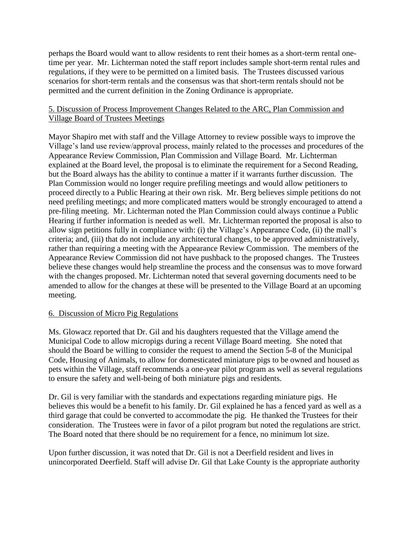perhaps the Board would want to allow residents to rent their homes as a short-term rental onetime per year. Mr. Lichterman noted the staff report includes sample short-term rental rules and regulations, if they were to be permitted on a limited basis. The Trustees discussed various scenarios for short-term rentals and the consensus was that short-term rentals should not be permitted and the current definition in the Zoning Ordinance is appropriate.

## 5. Discussion of Process Improvement Changes Related to the ARC, Plan Commission and Village Board of Trustees Meetings

Mayor Shapiro met with staff and the Village Attorney to review possible ways to improve the Village's land use review/approval process, mainly related to the processes and procedures of the Appearance Review Commission, Plan Commission and Village Board. Mr. Lichterman explained at the Board level, the proposal is to eliminate the requirement for a Second Reading, but the Board always has the ability to continue a matter if it warrants further discussion. The Plan Commission would no longer require prefiling meetings and would allow petitioners to proceed directly to a Public Hearing at their own risk. Mr. Berg believes simple petitions do not need prefiling meetings; and more complicated matters would be strongly encouraged to attend a pre-filing meeting. Mr. Lichterman noted the Plan Commission could always continue a Public Hearing if further information is needed as well. Mr. Lichterman reported the proposal is also to allow sign petitions fully in compliance with: (i) the Village's Appearance Code, (ii) the mall's criteria; and, (iii) that do not include any architectural changes, to be approved administratively, rather than requiring a meeting with the Appearance Review Commission. The members of the Appearance Review Commission did not have pushback to the proposed changes. The Trustees believe these changes would help streamline the process and the consensus was to move forward with the changes proposed. Mr. Lichterman noted that several governing documents need to be amended to allow for the changes at these will be presented to the Village Board at an upcoming meeting.

### 6. Discussion of Micro Pig Regulations

Ms. Glowacz reported that Dr. Gil and his daughters requested that the Village amend the Municipal Code to allow micropigs during a recent Village Board meeting. She noted that should the Board be willing to consider the request to amend the Section 5-8 of the Municipal Code, Housing of Animals, to allow for domesticated miniature pigs to be owned and housed as pets within the Village, staff recommends a one-year pilot program as well as several regulations to ensure the safety and well-being of both miniature pigs and residents.

Dr. Gil is very familiar with the standards and expectations regarding miniature pigs. He believes this would be a benefit to his family. Dr. Gil explained he has a fenced yard as well as a third garage that could be converted to accommodate the pig. He thanked the Trustees for their consideration. The Trustees were in favor of a pilot program but noted the regulations are strict. The Board noted that there should be no requirement for a fence, no minimum lot size.

Upon further discussion, it was noted that Dr. Gil is not a Deerfield resident and lives in unincorporated Deerfield. Staff will advise Dr. Gil that Lake County is the appropriate authority